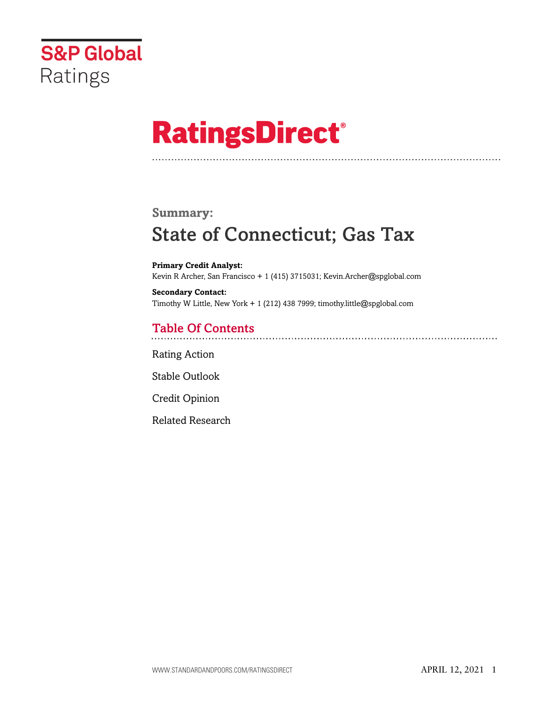

# **RatingsDirect®**

# **Summary:**

# State of Connecticut; Gas Tax

**Primary Credit Analyst:** Kevin R Archer, San Francisco + 1 (415) 3715031; Kevin.Archer@spglobal.com

**Secondary Contact:** Timothy W Little, New York + 1 (212) 438 7999; timothy.little@spglobal.com

# Table Of Contents

[Rating Action](#page-1-0)

[Stable Outlook](#page-3-0)

[Credit Opinion](#page-3-1)

[Related Research](#page-6-0)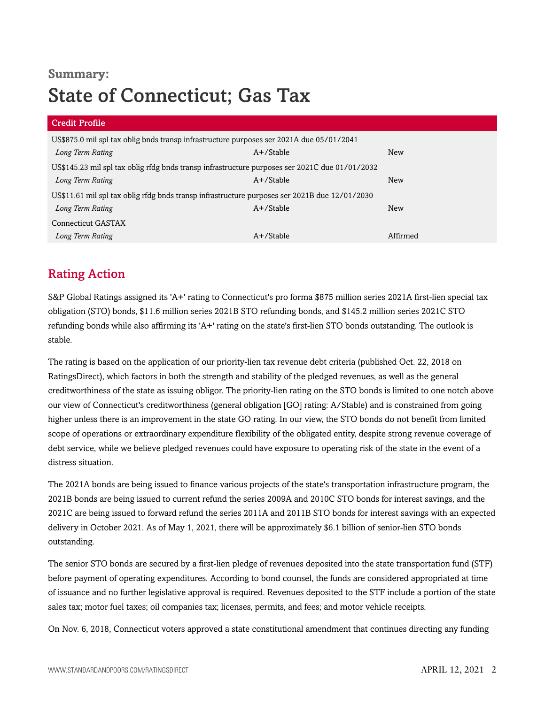# **Summary:** State of Connecticut; Gas Tax

| Credit Profile                                                                                 |              |            |  |  |
|------------------------------------------------------------------------------------------------|--------------|------------|--|--|
| US\$875.0 mil spl tax oblig bnds transp infrastructure purposes ser 2021A due 05/01/2041       |              |            |  |  |
| Long Term Rating                                                                               | $A+$ /Stable | New        |  |  |
| US\$145.23 mil spl tax oblig rfdg bnds transp infrastructure purposes ser 2021C due 01/01/2032 |              |            |  |  |
| Long Term Rating                                                                               | $A+$ /Stable | <b>New</b> |  |  |
| US\$11.61 mil spl tax oblig rfdg bnds transp infrastructure purposes ser 2021B due 12/01/2030  |              |            |  |  |
| Long Term Rating                                                                               | $A+$ /Stable | <b>New</b> |  |  |
| Connecticut GASTAX                                                                             |              |            |  |  |
| Long Term Rating                                                                               | $A+$ /Stable | Affirmed   |  |  |

# <span id="page-1-0"></span>Rating Action

S&P Global Ratings assigned its 'A+' rating to Connecticut's pro forma \$875 million series 2021A first-lien special tax obligation (STO) bonds, \$11.6 million series 2021B STO refunding bonds, and \$145.2 million series 2021C STO refunding bonds while also affirming its 'A+' rating on the state's first-lien STO bonds outstanding. The outlook is stable.

The rating is based on the application of our priority-lien tax revenue debt criteria (published Oct. 22, 2018 on RatingsDirect), which factors in both the strength and stability of the pledged revenues, as well as the general creditworthiness of the state as issuing obligor. The priority-lien rating on the STO bonds is limited to one notch above our view of Connecticut's creditworthiness (general obligation [GO] rating: A/Stable) and is constrained from going higher unless there is an improvement in the state GO rating. In our view, the STO bonds do not benefit from limited scope of operations or extraordinary expenditure flexibility of the obligated entity, despite strong revenue coverage of debt service, while we believe pledged revenues could have exposure to operating risk of the state in the event of a distress situation.

The 2021A bonds are being issued to finance various projects of the state's transportation infrastructure program, the 2021B bonds are being issued to current refund the series 2009A and 2010C STO bonds for interest savings, and the 2021C are being issued to forward refund the series 2011A and 2011B STO bonds for interest savings with an expected delivery in October 2021. As of May 1, 2021, there will be approximately \$6.1 billion of senior-lien STO bonds outstanding.

The senior STO bonds are secured by a first-lien pledge of revenues deposited into the state transportation fund (STF) before payment of operating expenditures. According to bond counsel, the funds are considered appropriated at time of issuance and no further legislative approval is required. Revenues deposited to the STF include a portion of the state sales tax; motor fuel taxes; oil companies tax; licenses, permits, and fees; and motor vehicle receipts.

On Nov. 6, 2018, Connecticut voters approved a state constitutional amendment that continues directing any funding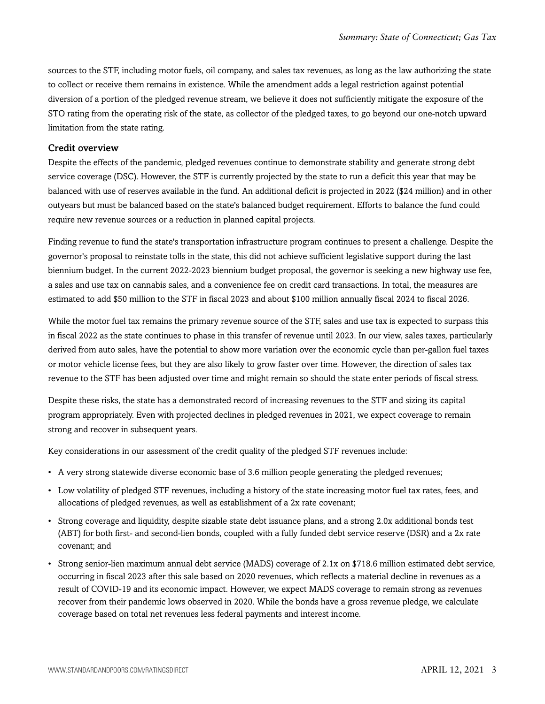sources to the STF, including motor fuels, oil company, and sales tax revenues, as long as the law authorizing the state to collect or receive them remains in existence. While the amendment adds a legal restriction against potential diversion of a portion of the pledged revenue stream, we believe it does not sufficiently mitigate the exposure of the STO rating from the operating risk of the state, as collector of the pledged taxes, to go beyond our one-notch upward limitation from the state rating.

#### Credit overview

Despite the effects of the pandemic, pledged revenues continue to demonstrate stability and generate strong debt service coverage (DSC). However, the STF is currently projected by the state to run a deficit this year that may be balanced with use of reserves available in the fund. An additional deficit is projected in 2022 (\$24 million) and in other outyears but must be balanced based on the state's balanced budget requirement. Efforts to balance the fund could require new revenue sources or a reduction in planned capital projects.

Finding revenue to fund the state's transportation infrastructure program continues to present a challenge. Despite the governor's proposal to reinstate tolls in the state, this did not achieve sufficient legislative support during the last biennium budget. In the current 2022-2023 biennium budget proposal, the governor is seeking a new highway use fee, a sales and use tax on cannabis sales, and a convenience fee on credit card transactions. In total, the measures are estimated to add \$50 million to the STF in fiscal 2023 and about \$100 million annually fiscal 2024 to fiscal 2026.

While the motor fuel tax remains the primary revenue source of the STF, sales and use tax is expected to surpass this in fiscal 2022 as the state continues to phase in this transfer of revenue until 2023. In our view, sales taxes, particularly derived from auto sales, have the potential to show more variation over the economic cycle than per-gallon fuel taxes or motor vehicle license fees, but they are also likely to grow faster over time. However, the direction of sales tax revenue to the STF has been adjusted over time and might remain so should the state enter periods of fiscal stress.

Despite these risks, the state has a demonstrated record of increasing revenues to the STF and sizing its capital program appropriately. Even with projected declines in pledged revenues in 2021, we expect coverage to remain strong and recover in subsequent years.

Key considerations in our assessment of the credit quality of the pledged STF revenues include:

- A very strong statewide diverse economic base of 3.6 million people generating the pledged revenues;
- Low volatility of pledged STF revenues, including a history of the state increasing motor fuel tax rates, fees, and allocations of pledged revenues, as well as establishment of a 2x rate covenant;
- Strong coverage and liquidity, despite sizable state debt issuance plans, and a strong 2.0x additional bonds test (ABT) for both first- and second-lien bonds, coupled with a fully funded debt service reserve (DSR) and a 2x rate covenant; and
- Strong senior-lien maximum annual debt service (MADS) coverage of 2.1x on \$718.6 million estimated debt service, occurring in fiscal 2023 after this sale based on 2020 revenues, which reflects a material decline in revenues as a result of COVID-19 and its economic impact. However, we expect MADS coverage to remain strong as revenues recover from their pandemic lows observed in 2020. While the bonds have a gross revenue pledge, we calculate coverage based on total net revenues less federal payments and interest income.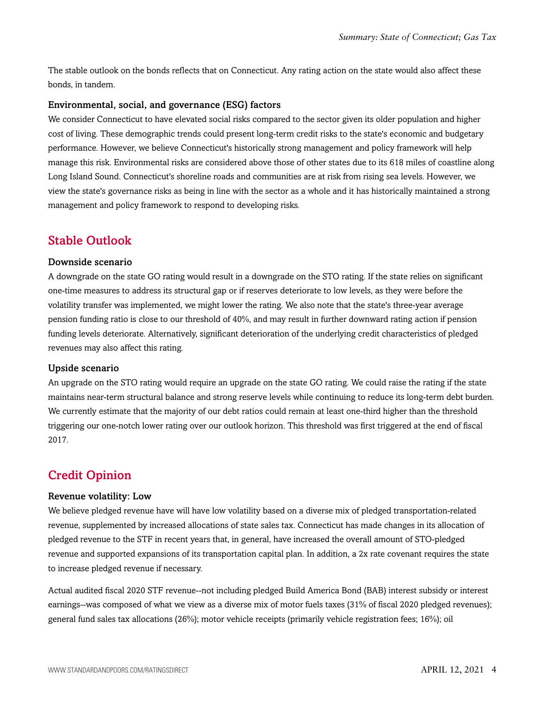The stable outlook on the bonds reflects that on Connecticut. Any rating action on the state would also affect these bonds, in tandem.

#### Environmental, social, and governance (ESG) factors

We consider Connecticut to have elevated social risks compared to the sector given its older population and higher cost of living. These demographic trends could present long-term credit risks to the state's economic and budgetary performance. However, we believe Connecticut's historically strong management and policy framework will help manage this risk. Environmental risks are considered above those of other states due to its 618 miles of coastline along Long Island Sound. Connecticut's shoreline roads and communities are at risk from rising sea levels. However, we view the state's governance risks as being in line with the sector as a whole and it has historically maintained a strong management and policy framework to respond to developing risks.

### <span id="page-3-0"></span>Stable Outlook

#### Downside scenario

A downgrade on the state GO rating would result in a downgrade on the STO rating. If the state relies on significant one-time measures to address its structural gap or if reserves deteriorate to low levels, as they were before the volatility transfer was implemented, we might lower the rating. We also note that the state's three-year average pension funding ratio is close to our threshold of 40%, and may result in further downward rating action if pension funding levels deteriorate. Alternatively, significant deterioration of the underlying credit characteristics of pledged revenues may also affect this rating.

#### Upside scenario

An upgrade on the STO rating would require an upgrade on the state GO rating. We could raise the rating if the state maintains near-term structural balance and strong reserve levels while continuing to reduce its long-term debt burden. We currently estimate that the majority of our debt ratios could remain at least one-third higher than the threshold triggering our one-notch lower rating over our outlook horizon. This threshold was first triggered at the end of fiscal 2017.

# <span id="page-3-1"></span>Credit Opinion

#### Revenue volatility: Low

We believe pledged revenue have will have low volatility based on a diverse mix of pledged transportation-related revenue, supplemented by increased allocations of state sales tax. Connecticut has made changes in its allocation of pledged revenue to the STF in recent years that, in general, have increased the overall amount of STO-pledged revenue and supported expansions of its transportation capital plan. In addition, a 2x rate covenant requires the state to increase pledged revenue if necessary.

Actual audited fiscal 2020 STF revenue--not including pledged Build America Bond (BAB) interest subsidy or interest earnings--was composed of what we view as a diverse mix of motor fuels taxes (31% of fiscal 2020 pledged revenues); general fund sales tax allocations (26%); motor vehicle receipts (primarily vehicle registration fees; 16%); oil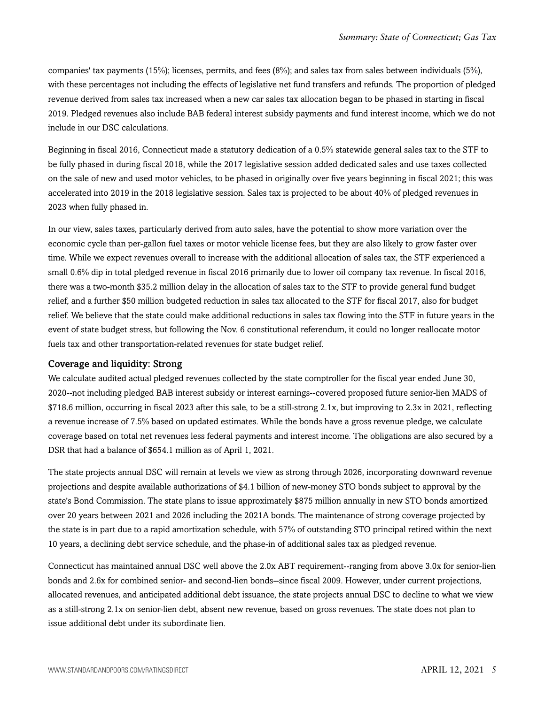companies' tax payments (15%); licenses, permits, and fees (8%); and sales tax from sales between individuals (5%), with these percentages not including the effects of legislative net fund transfers and refunds. The proportion of pledged revenue derived from sales tax increased when a new car sales tax allocation began to be phased in starting in fiscal 2019. Pledged revenues also include BAB federal interest subsidy payments and fund interest income, which we do not include in our DSC calculations.

Beginning in fiscal 2016, Connecticut made a statutory dedication of a 0.5% statewide general sales tax to the STF to be fully phased in during fiscal 2018, while the 2017 legislative session added dedicated sales and use taxes collected on the sale of new and used motor vehicles, to be phased in originally over five years beginning in fiscal 2021; this was accelerated into 2019 in the 2018 legislative session. Sales tax is projected to be about 40% of pledged revenues in 2023 when fully phased in.

In our view, sales taxes, particularly derived from auto sales, have the potential to show more variation over the economic cycle than per-gallon fuel taxes or motor vehicle license fees, but they are also likely to grow faster over time. While we expect revenues overall to increase with the additional allocation of sales tax, the STF experienced a small 0.6% dip in total pledged revenue in fiscal 2016 primarily due to lower oil company tax revenue. In fiscal 2016, there was a two-month \$35.2 million delay in the allocation of sales tax to the STF to provide general fund budget relief, and a further \$50 million budgeted reduction in sales tax allocated to the STF for fiscal 2017, also for budget relief. We believe that the state could make additional reductions in sales tax flowing into the STF in future years in the event of state budget stress, but following the Nov. 6 constitutional referendum, it could no longer reallocate motor fuels tax and other transportation-related revenues for state budget relief.

#### Coverage and liquidity: Strong

We calculate audited actual pledged revenues collected by the state comptroller for the fiscal year ended June 30, 2020--not including pledged BAB interest subsidy or interest earnings--covered proposed future senior-lien MADS of \$718.6 million, occurring in fiscal 2023 after this sale, to be a still-strong 2.1x, but improving to 2.3x in 2021, reflecting a revenue increase of 7.5% based on updated estimates. While the bonds have a gross revenue pledge, we calculate coverage based on total net revenues less federal payments and interest income. The obligations are also secured by a DSR that had a balance of \$654.1 million as of April 1, 2021.

The state projects annual DSC will remain at levels we view as strong through 2026, incorporating downward revenue projections and despite available authorizations of \$4.1 billion of new-money STO bonds subject to approval by the state's Bond Commission. The state plans to issue approximately \$875 million annually in new STO bonds amortized over 20 years between 2021 and 2026 including the 2021A bonds. The maintenance of strong coverage projected by the state is in part due to a rapid amortization schedule, with 57% of outstanding STO principal retired within the next 10 years, a declining debt service schedule, and the phase-in of additional sales tax as pledged revenue.

Connecticut has maintained annual DSC well above the 2.0x ABT requirement--ranging from above 3.0x for senior-lien bonds and 2.6x for combined senior- and second-lien bonds--since fiscal 2009. However, under current projections, allocated revenues, and anticipated additional debt issuance, the state projects annual DSC to decline to what we view as a still-strong 2.1x on senior-lien debt, absent new revenue, based on gross revenues. The state does not plan to issue additional debt under its subordinate lien.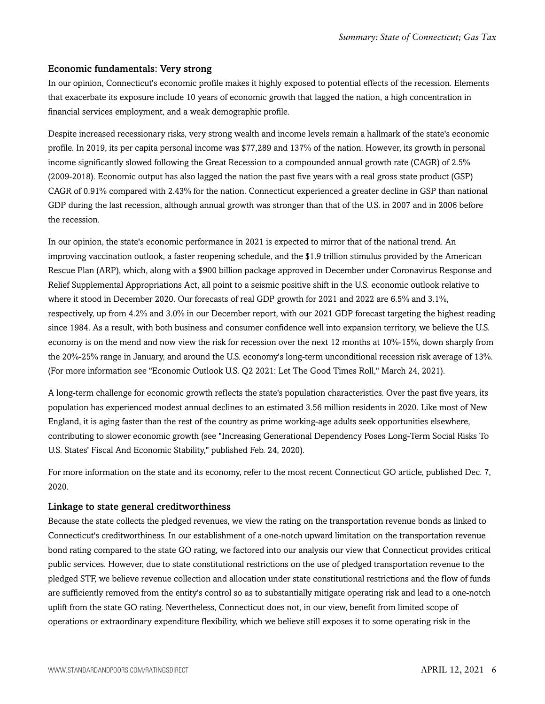#### Economic fundamentals: Very strong

In our opinion, Connecticut's economic profile makes it highly exposed to potential effects of the recession. Elements that exacerbate its exposure include 10 years of economic growth that lagged the nation, a high concentration in financial services employment, and a weak demographic profile.

Despite increased recessionary risks, very strong wealth and income levels remain a hallmark of the state's economic profile. In 2019, its per capita personal income was \$77,289 and 137% of the nation. However, its growth in personal income significantly slowed following the Great Recession to a compounded annual growth rate (CAGR) of 2.5% (2009-2018). Economic output has also lagged the nation the past five years with a real gross state product (GSP) CAGR of 0.91% compared with 2.43% for the nation. Connecticut experienced a greater decline in GSP than national GDP during the last recession, although annual growth was stronger than that of the U.S. in 2007 and in 2006 before the recession.

In our opinion, the state's economic performance in 2021 is expected to mirror that of the national trend. An improving vaccination outlook, a faster reopening schedule, and the \$1.9 trillion stimulus provided by the American Rescue Plan (ARP), which, along with a \$900 billion package approved in December under Coronavirus Response and Relief Supplemental Appropriations Act, all point to a seismic positive shift in the U.S. economic outlook relative to where it stood in December 2020. Our forecasts of real GDP growth for 2021 and 2022 are 6.5% and 3.1%, respectively, up from 4.2% and 3.0% in our December report, with our 2021 GDP forecast targeting the highest reading since 1984. As a result, with both business and consumer confidence well into expansion territory, we believe the U.S. economy is on the mend and now view the risk for recession over the next 12 months at 10%-15%, down sharply from the 20%-25% range in January, and around the U.S. economy's long-term unconditional recession risk average of 13%. (For more information see "Economic Outlook U.S. Q2 2021: Let The Good Times Roll," March 24, 2021).

A long-term challenge for economic growth reflects the state's population characteristics. Over the past five years, its population has experienced modest annual declines to an estimated 3.56 million residents in 2020. Like most of New England, it is aging faster than the rest of the country as prime working-age adults seek opportunities elsewhere, contributing to slower economic growth (see "Increasing Generational Dependency Poses Long-Term Social Risks To U.S. States' Fiscal And Economic Stability," published Feb. 24, 2020).

For more information on the state and its economy, refer to the most recent Connecticut GO article, published Dec. 7, 2020.

#### Linkage to state general creditworthiness

Because the state collects the pledged revenues, we view the rating on the transportation revenue bonds as linked to Connecticut's creditworthiness. In our establishment of a one-notch upward limitation on the transportation revenue bond rating compared to the state GO rating, we factored into our analysis our view that Connecticut provides critical public services. However, due to state constitutional restrictions on the use of pledged transportation revenue to the pledged STF, we believe revenue collection and allocation under state constitutional restrictions and the flow of funds are sufficiently removed from the entity's control so as to substantially mitigate operating risk and lead to a one-notch uplift from the state GO rating. Nevertheless, Connecticut does not, in our view, benefit from limited scope of operations or extraordinary expenditure flexibility, which we believe still exposes it to some operating risk in the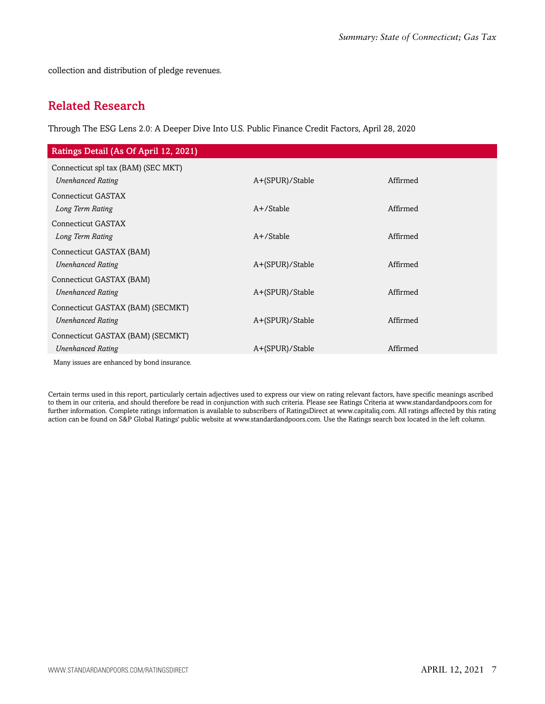<span id="page-6-0"></span>collection and distribution of pledge revenues.

### Related Research

Through The ESG Lens 2.0: A Deeper Dive Into U.S. Public Finance Credit Factors, April 28, 2020

| Ratings Detail (As Of April 12, 2021)       |                 |          |  |
|---------------------------------------------|-----------------|----------|--|
| Connecticut spl tax (BAM) (SEC MKT)         |                 |          |  |
| <b>Unenhanced Rating</b>                    | A+(SPUR)/Stable | Affirmed |  |
| Connecticut GASTAX                          |                 |          |  |
| Long Term Rating                            | $A+$ /Stable    | Affirmed |  |
| Connecticut GASTAX                          |                 |          |  |
| Long Term Rating                            | $A+$ /Stable    | Affirmed |  |
| Connecticut GASTAX (BAM)                    |                 |          |  |
| <b>Unenhanced Rating</b>                    | A+(SPUR)/Stable | Affirmed |  |
| Connecticut GASTAX (BAM)                    |                 |          |  |
| <b>Unenhanced Rating</b>                    | A+(SPUR)/Stable | Affirmed |  |
| Connecticut GASTAX (BAM) (SECMKT)           |                 |          |  |
| <b>Unenhanced Rating</b>                    | A+(SPUR)/Stable | Affirmed |  |
| Connecticut GASTAX (BAM) (SECMKT)           |                 |          |  |
| <b>Unenhanced Rating</b>                    | A+(SPUR)/Stable | Affirmed |  |
| Many issues are enhanced by bond insurance. |                 |          |  |

Certain terms used in this report, particularly certain adjectives used to express our view on rating relevant factors, have specific meanings ascribed to them in our criteria, and should therefore be read in conjunction with such criteria. Please see Ratings Criteria at www.standardandpoors.com for further information. Complete ratings information is available to subscribers of RatingsDirect at www.capitaliq.com. All ratings affected by this rating action can be found on S&P Global Ratings' public website at www.standardandpoors.com. Use the Ratings search box located in the left column.